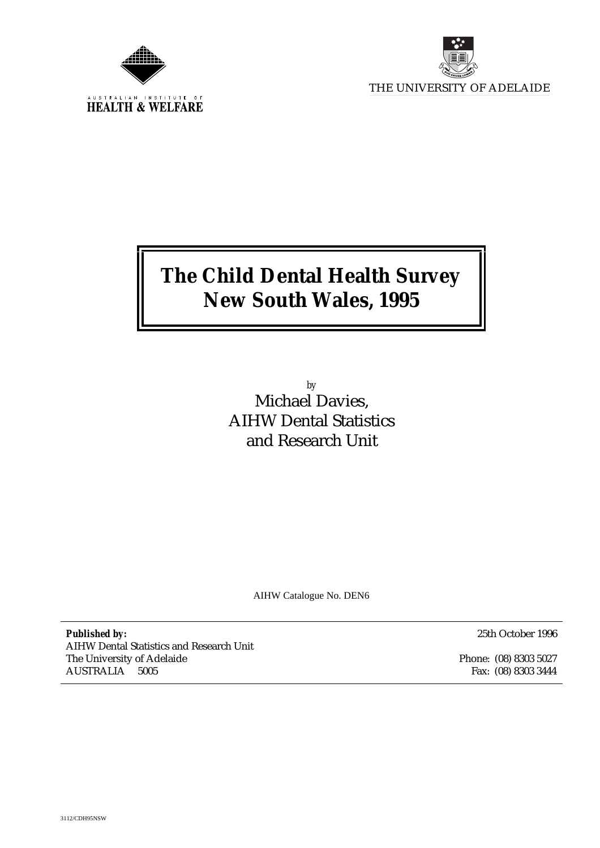



# **The Child Dental Health Survey New South Wales, 1995**

*by* Michael Davies, AIHW Dental Statistics and Research Unit

AIHW Catalogue No. DEN6

*Published by:* AIHW Dental Statistics and Research Unit The University of Adelaide AUSTRALIA 5005

25th October 1996

Phone: (08) 8303 5027 Fax: (08) 8303 3444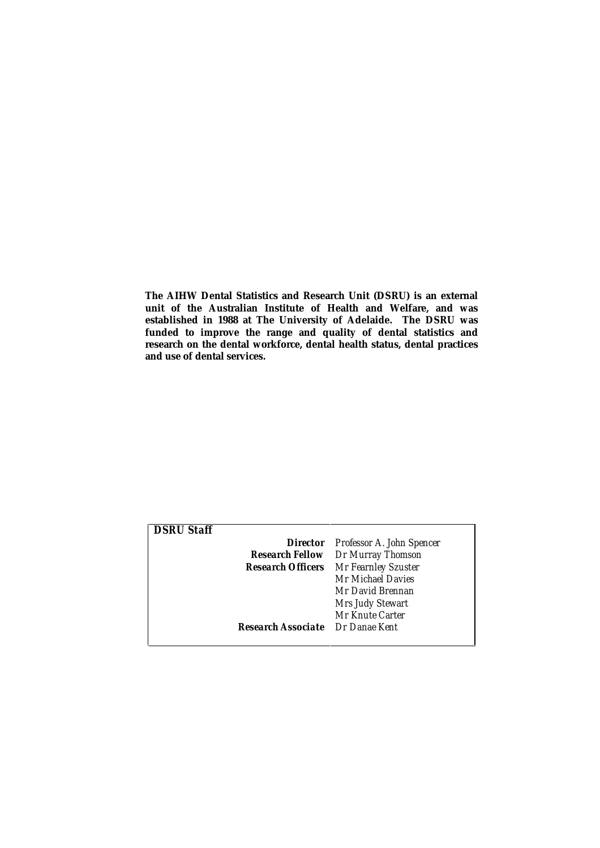**The AIHW Dental Statistics and Research Unit (DSRU) is an external unit of the Australian Institute of Health and Welfare, and was established in 1988 at The University of Adelaide. The DSRU was funded to improve the range and quality of dental statistics and research on the dental workforce, dental health status, dental practices and use of dental services.**

| <b>DSRU Staff</b> |                                              |
|-------------------|----------------------------------------------|
|                   | <b>Director</b> Professor A. John Spencer    |
|                   | <b>Research Fellow</b> Dr Murray Thomson     |
|                   | <b>Research Officers</b> Mr Fearnley Szuster |
|                   | Mr Michael Davies                            |
|                   | Mr David Brennan                             |
|                   | <b>Mrs Judy Stewart</b>                      |
|                   | Mr Knute Carter                              |
|                   | <b>Research Associate</b> Dr Danae Kent      |
|                   |                                              |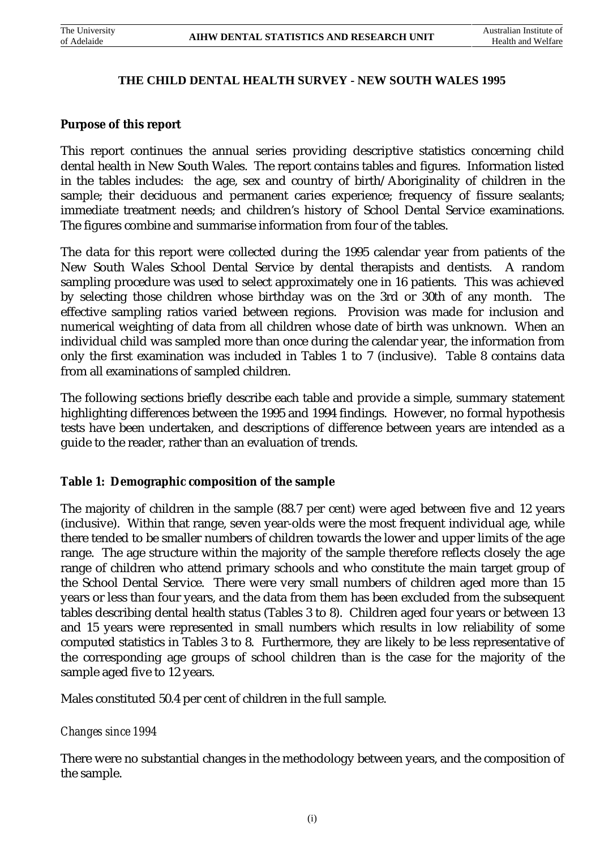#### **THE CHILD DENTAL HEALTH SURVEY - NEW SOUTH WALES 1995**

#### **Purpose of this report**

This report continues the annual series providing descriptive statistics concerning child dental health in New South Wales. The report contains tables and figures. Information listed in the tables includes: the age, sex and country of birth/Aboriginality of children in the sample; their deciduous and permanent caries experience; frequency of fissure sealants; immediate treatment needs; and children's history of School Dental Service examinations. The figures combine and summarise information from four of the tables.

The data for this report were collected during the 1995 calendar year from patients of the New South Wales School Dental Service by dental therapists and dentists. A random sampling procedure was used to select approximately one in 16 patients. This was achieved by selecting those children whose birthday was on the 3rd or 30th of any month. The effective sampling ratios varied between regions. Provision was made for inclusion and numerical weighting of data from all children whose date of birth was unknown. When an individual child was sampled more than once during the calendar year, the information from only the first examination was included in Tables 1 to 7 (inclusive). Table 8 contains data from all examinations of sampled children.

The following sections briefly describe each table and provide a simple, summary statement highlighting differences between the 1995 and 1994 findings. However, no formal hypothesis tests have been undertaken, and descriptions of difference between years are intended as a guide to the reader, rather than an evaluation of trends.

# **Table 1: Demographic composition of the sample**

The majority of children in the sample (88.7 per cent) were aged between five and 12 years (inclusive). Within that range, seven year-olds were the most frequent individual age, while there tended to be smaller numbers of children towards the lower and upper limits of the age range. The age structure within the majority of the sample therefore reflects closely the age range of children who attend primary schools and who constitute the main target group of the School Dental Service. There were very small numbers of children aged more than 15 years or less than four years, and the data from them has been excluded from the subsequent tables describing dental health status (Tables 3 to 8). Children aged four years or between 13 and 15 years were represented in small numbers which results in low reliability of some computed statistics in Tables 3 to 8. Furthermore, they are likely to be less representative of the corresponding age groups of school children than is the case for the majority of the sample aged five to 12 years.

Males constituted 50.4 per cent of children in the full sample.

#### *Changes since 1994*

There were no substantial changes in the methodology between years, and the composition of the sample.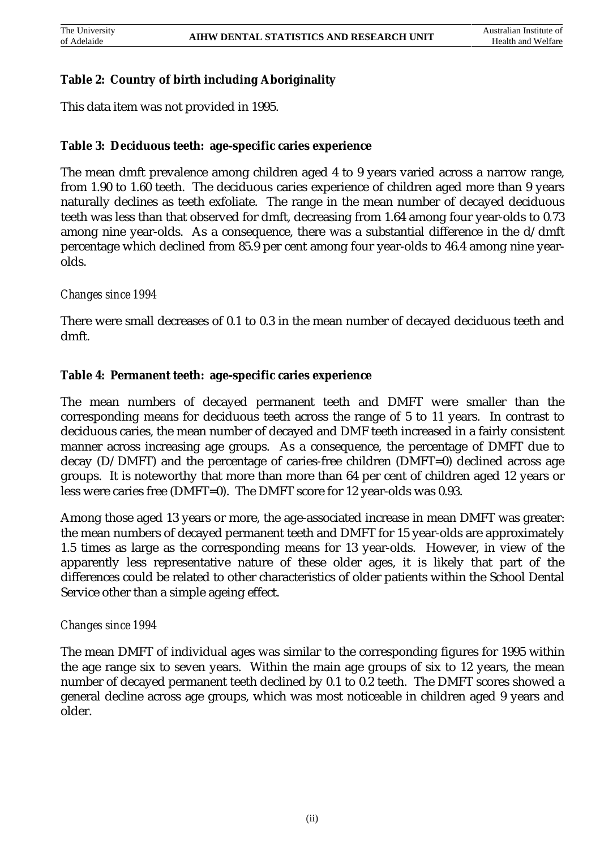# **Table 2: Country of birth including Aboriginality**

This data item was not provided in 1995.

#### **Table 3: Deciduous teeth: age-specific caries experience**

The mean dmft prevalence among children aged 4 to 9 years varied across a narrow range, from 1.90 to 1.60 teeth. The deciduous caries experience of children aged more than 9 years naturally declines as teeth exfoliate. The range in the mean number of decayed deciduous teeth was less than that observed for dmft, decreasing from 1.64 among four year-olds to 0.73 among nine year-olds. As a consequence, there was a substantial difference in the  $d/dmft$ percentage which declined from 85.9 per cent among four year-olds to 46.4 among nine yearolds.

#### *Changes since 1994*

There were small decreases of 0.1 to 0.3 in the mean number of decayed deciduous teeth and dmft.

#### **Table 4: Permanent teeth: age-specific caries experience**

The mean numbers of decayed permanent teeth and DMFT were smaller than the corresponding means for deciduous teeth across the range of 5 to 11 years. In contrast to deciduous caries, the mean number of decayed and DMF teeth increased in a fairly consistent manner across increasing age groups. As a consequence, the percentage of DMFT due to decay (D/DMFT) and the percentage of caries-free children (DMFT=0) declined across age groups. It is noteworthy that more than more than 64 per cent of children aged 12 years or less were caries free (DMFT=0). The DMFT score for 12 year-olds was 0.93.

Among those aged 13 years or more, the age-associated increase in mean DMFT was greater: the mean numbers of decayed permanent teeth and DMFT for 15 year-olds are approximately 1.5 times as large as the corresponding means for 13 year-olds. However, in view of the apparently less representative nature of these older ages, it is likely that part of the differences could be related to other characteristics of older patients within the School Dental Service other than a simple ageing effect.

#### *Changes since 1994*

The mean DMFT of individual ages was similar to the corresponding figures for 1995 within the age range six to seven years. Within the main age groups of six to 12 years, the mean number of decayed permanent teeth declined by 0.1 to 0.2 teeth. The DMFT scores showed a general decline across age groups, which was most noticeable in children aged 9 years and older.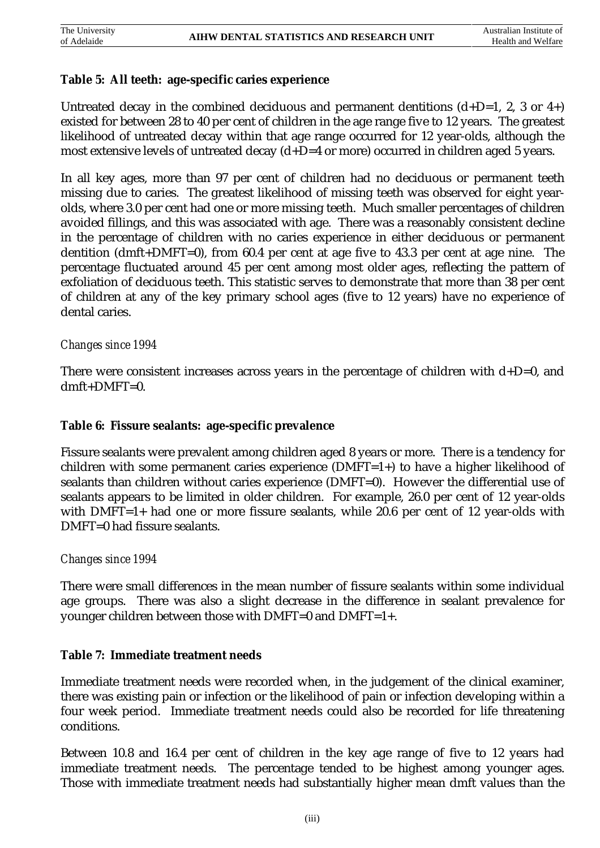# **Table 5: All teeth: age-specific caries experience**

Untreated decay in the combined deciduous and permanent dentitions  $(d+D=1, 2, 3 \text{ or } 4+)$ existed for between 28 to 40 per cent of children in the age range five to 12 years. The greatest likelihood of untreated decay within that age range occurred for 12 year-olds, although the most extensive levels of untreated decay (d+D=4 or more) occurred in children aged 5 years.

In all key ages, more than 97 per cent of children had no deciduous or permanent teeth missing due to caries. The greatest likelihood of missing teeth was observed for eight yearolds, where 3.0 per cent had one or more missing teeth. Much smaller percentages of children avoided fillings, and this was associated with age. There was a reasonably consistent decline in the percentage of children with no caries experience in either deciduous or permanent dentition (dmft+DMFT=0), from 60.4 per cent at age five to 43.3 per cent at age nine. The percentage fluctuated around 45 per cent among most older ages, reflecting the pattern of exfoliation of deciduous teeth. This statistic serves to demonstrate that more than 38 per cent of children at any of the key primary school ages (five to 12 years) have no experience of dental caries.

#### *Changes since 1994*

There were consistent increases across years in the percentage of children with  $d+D=0$ , and  $dmft+DMFT=0.$ 

#### **Table 6: Fissure sealants: age-specific prevalence**

Fissure sealants were prevalent among children aged 8 years or more. There is a tendency for children with some permanent caries experience (DMFT=1+) to have a higher likelihood of sealants than children without caries experience (DMFT=0). However the differential use of sealants appears to be limited in older children. For example, 26.0 per cent of 12 year-olds with DMFT=1+ had one or more fissure sealants, while 20.6 per cent of 12 year-olds with DMFT=0 had fissure sealants.

# *Changes since 1994*

There were small differences in the mean number of fissure sealants within some individual age groups. There was also a slight decrease in the difference in sealant prevalence for younger children between those with DMFT=0 and DMFT=1+.

# **Table 7: Immediate treatment needs**

Immediate treatment needs were recorded when, in the judgement of the clinical examiner, there was existing pain or infection or the likelihood of pain or infection developing within a four week period. Immediate treatment needs could also be recorded for life threatening conditions.

Between 10.8 and 16.4 per cent of children in the key age range of five to 12 years had immediate treatment needs. The percentage tended to be highest among younger ages. Those with immediate treatment needs had substantially higher mean dmft values than the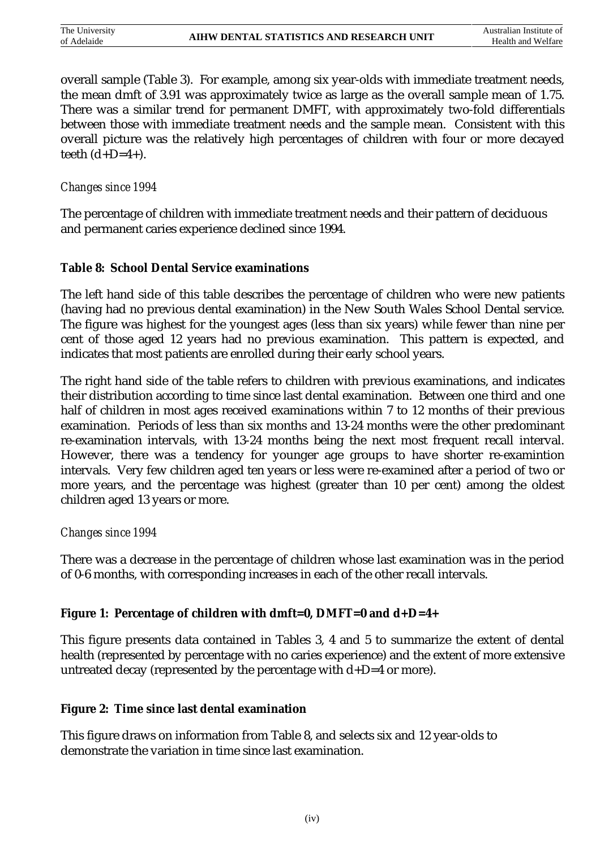overall sample (Table 3). For example, among six year-olds with immediate treatment needs, the mean dmft of 3.91 was approximately twice as large as the overall sample mean of 1.75. There was a similar trend for permanent DMFT, with approximately two-fold differentials between those with immediate treatment needs and the sample mean. Consistent with this overall picture was the relatively high percentages of children with four or more decayed teeth  $(d+D=4+)$ .

# *Changes since 1994*

The percentage of children with immediate treatment needs and their pattern of deciduous and permanent caries experience declined since 1994.

# **Table 8: School Dental Service examinations**

The left hand side of this table describes the percentage of children who were new patients (having had no previous dental examination) in the New South Wales School Dental service. The figure was highest for the youngest ages (less than six years) while fewer than nine per cent of those aged 12 years had no previous examination. This pattern is expected, and indicates that most patients are enrolled during their early school years.

The right hand side of the table refers to children with previous examinations, and indicates their distribution according to time since last dental examination. Between one third and one half of children in most ages received examinations within 7 to 12 months of their previous examination. Periods of less than six months and 13-24 months were the other predominant re-examination intervals, with 13-24 months being the next most frequent recall interval. However, there was a tendency for younger age groups to have shorter re-examintion intervals. Very few children aged ten years or less were re-examined after a period of two or more years, and the percentage was highest (greater than 10 per cent) among the oldest children aged 13 years or more.

# *Changes since 1994*

There was a decrease in the percentage of children whose last examination was in the period of 0-6 months, with corresponding increases in each of the other recall intervals.

# **Figure 1: Percentage of children with dmft=0, DMFT=0 and d+D=4+**

This figure presents data contained in Tables 3, 4 and 5 to summarize the extent of dental health (represented by percentage with no caries experience) and the extent of more extensive untreated decay (represented by the percentage with  $d+D=4$  or more).

# **Figure 2: Time since last dental examination**

This figure draws on information from Table 8, and selects six and 12 year-olds to demonstrate the variation in time since last examination.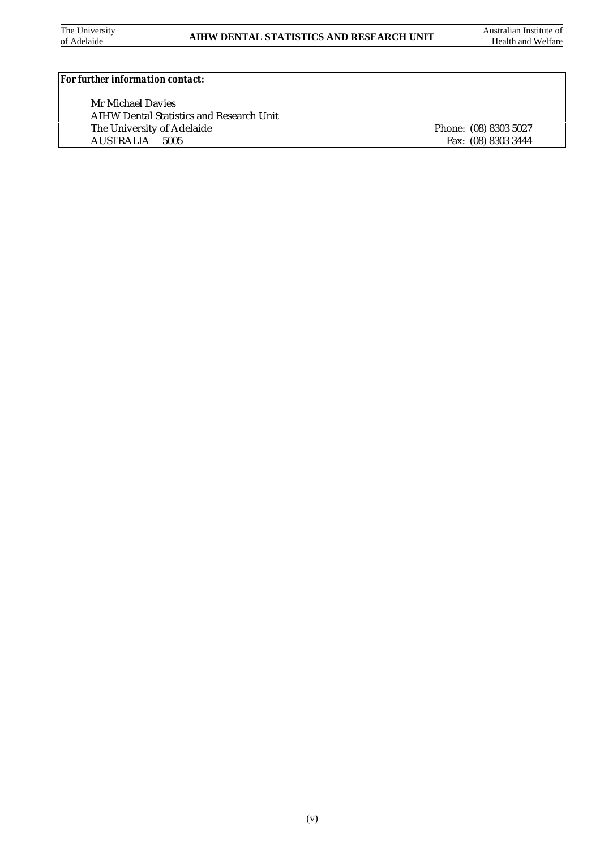#### *For further information contact:*

Mr Michael Davies AIHW Dental Statistics and Research Unit The University of Adelaide Phone: (08) 8303 5027<br>AUSTRALIA 5005 Fax: (08) 8303 3444

Fax: (08) 8303 3444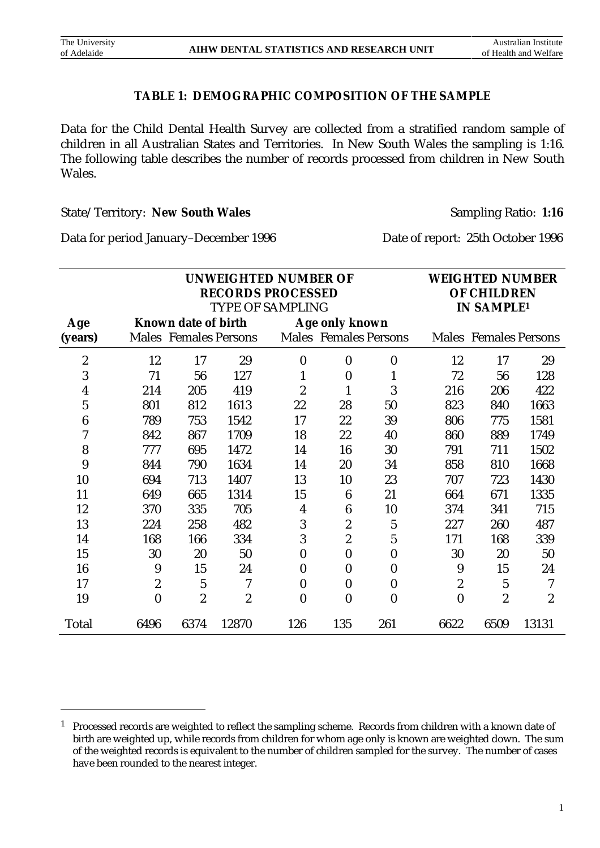$\overline{a}$ 

#### **TABLE 1: DEMOGRAPHIC COMPOSITION OF THE SAMPLE**

Data for the Child Dental Health Survey are collected from a stratified random sample of children in all Australian States and Territories. In New South Wales the sampling is 1:16. The following table describes the number of records processed from children in New South Wales.

State/Territory: New South Wales Sampling Ratio: 1:16

Data for period January–December 1996 Date of report: 25th October 1996

|                         |          |                              | <b>WEIGHTED NUMBER</b> |                   |                |                              |                |                              |                  |
|-------------------------|----------|------------------------------|------------------------|-------------------|----------------|------------------------------|----------------|------------------------------|------------------|
|                         |          | <b>RECORDS PROCESSED</b>     | <b>OF CHILDREN</b>     |                   |                |                              |                |                              |                  |
|                         |          | <b>TYPE OF SAMPLING</b>      |                        | <b>IN SAMPLE1</b> |                |                              |                |                              |                  |
| Age                     |          | Known date of birth          |                        |                   | Age only known |                              |                |                              |                  |
| (years)                 |          | <b>Males Females Persons</b> |                        |                   |                | <b>Males Females Persons</b> |                | <b>Males</b> Females Persons |                  |
| $\overline{\mathbf{c}}$ | 12       | 17                           | 29                     | $\boldsymbol{0}$  | $\bf{0}$       | $\bf{0}$                     | 12             | 17                           | 29               |
| 3                       | 71       | 56                           | 127                    | 1                 | $\bf{0}$       | 1                            | 72             | 56                           | 128              |
| $\boldsymbol{4}$        | 214      | 205                          | 419                    | $\overline{c}$    |                | 3                            | 216            | 206                          | 422              |
| 5                       | 801      | 812                          | 1613                   | 22                | 28             | 50                           | 823            | 840                          | 1663             |
| 6                       | 789      | 753                          | 1542                   | 17                | 22             | 39                           | 806            | 775                          | 1581             |
| 7                       | 842      | 867                          | 1709                   | 18                | 22             | 40                           | 860            | 889                          | 1749             |
| 8                       | 777      | 695                          | 1472                   | 14                | 16             | 30                           | 791            | 711                          | 1502             |
| 9                       | 844      | 790                          | 1634                   | 14                | 20             | 34                           | 858            | 810                          | 1668             |
| 10                      | 694      | 713                          | 1407                   | 13                | 10             | 23                           | 707            | 723                          | 1430             |
| 11                      | 649      | 665                          | 1314                   | 15                | 6              | 21                           | 664            | 671                          | 1335             |
| 12                      | 370      | 335                          | 705                    | $\boldsymbol{4}$  | 6              | 10                           | 374            | 341                          | 715              |
| 13                      | 224      | 258                          | 482                    | 3                 | 2              | 5                            | 227            | 260                          | 487              |
| 14                      | 168      | 166                          | 334                    | 3                 | 2              | 5                            | 171            | 168                          | 339              |
| 15                      | 30       | 20                           | 50                     | $\bf{0}$          | $\bf{0}$       | $\bf{0}$                     | 30             | 20                           | 50               |
| 16                      | 9        | 15                           | 24                     | $\boldsymbol{0}$  | $\bf{0}$       | $\bf{0}$                     | 9              | 15                           | 24               |
| 17                      | 2        | $\overline{5}$               | 7                      | $\boldsymbol{0}$  | $\bf{0}$       | $\bf{0}$                     | $\overline{c}$ | $\mathbf 5$                  | 7                |
| 19                      | $\bf{0}$ | $\boldsymbol{2}$             | $\boldsymbol{2}$       | $\bf{0}$          | $\bf{0}$       | $\bf{0}$                     | $\bf{0}$       | $\boldsymbol{2}$             | $\boldsymbol{2}$ |
| Total                   | 6496     | 6374                         | 12870                  | 126               | 135            | 261                          | 6622           | 6509                         | 13131            |

<sup>&</sup>lt;sup>1</sup> Processed records are weighted to reflect the sampling scheme. Records from children with a known date of birth are weighted up, while records from children for whom age only is known are weighted down. The sum of the weighted records is equivalent to the number of children sampled for the survey. The number of cases have been rounded to the nearest integer.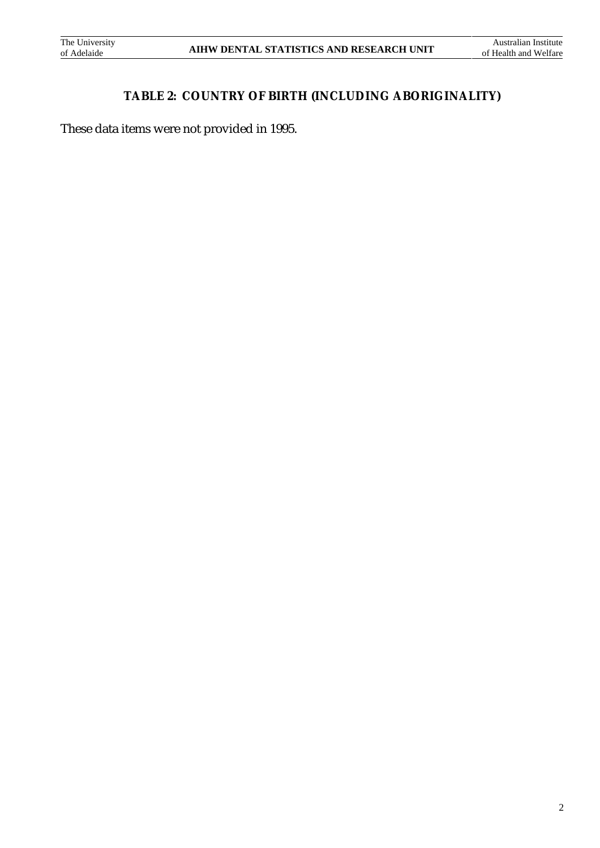# **TABLE 2: COUNTRY OF BIRTH (INCLUDING ABORIGINALITY)**

These data items were not provided in 1995.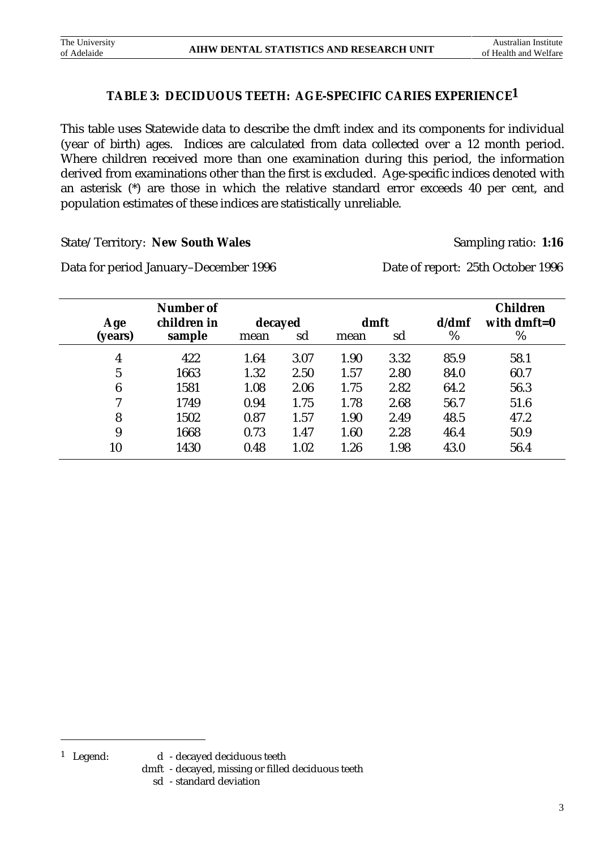# **TABLE 3: DECIDUOUS TEETH: AGE-SPECIFIC CARIES EXPERIENCE1**

This table uses Statewide data to describe the dmft index and its components for individual (year of birth) ages. Indices are calculated from data collected over a 12 month period. Where children received more than one examination during this period, the information derived from examinations other than the first is excluded. Age-specific indices denoted with an asterisk (\*) are those in which the relative standard error exceeds 40 per cent, and population estimates of these indices are statistically unreliable.

State/Territory: New South Wales Sampling ratio: 1:16

Data for period January–December 1996 Date of report: 25th October 1996

| Age             | Number of<br>children in | decayed |      | <b>Children</b><br>with dmft= $0$ |      |      |      |
|-----------------|--------------------------|---------|------|-----------------------------------|------|------|------|
| (years)         | sample                   | mean    | sd   | mean                              | sd   | %    | %    |
| $\overline{4}$  | 422                      | 1.64    | 3.07 | 1.90                              | 3.32 | 85.9 | 58.1 |
| 5               | 1663                     | 1.32    | 2.50 | 1.57                              | 2.80 | 84.0 | 60.7 |
| $6\phantom{1}6$ | 1581                     | 1.08    | 2.06 | 1.75                              | 2.82 | 64.2 | 56.3 |
| 7               | 1749                     | 0.94    | 1.75 | 1.78                              | 2.68 | 56.7 | 51.6 |
| 8               | 1502                     | 0.87    | 1.57 | 1.90                              | 2.49 | 48.5 | 47.2 |
| 9               | 1668                     | 0.73    | 1.47 | 1.60                              | 2.28 | 46.4 | 50.9 |
| 10              | 1430                     | 0.48    | 1.02 | 1.26                              | 1.98 | 43.0 | 56.4 |

- dmft decayed, missing or filled deciduous teeth
	- sd standard deviation

<sup>1</sup> Legend: d - decayed deciduous teeth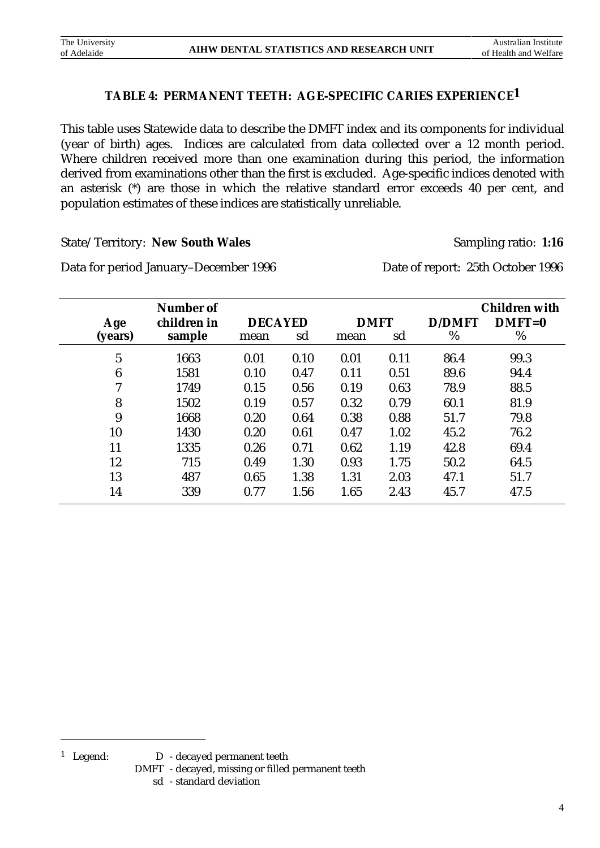# **TABLE 4: PERMANENT TEETH: AGE-SPECIFIC CARIES EXPERIENCE1**

This table uses Statewide data to describe the DMFT index and its components for individual (year of birth) ages. Indices are calculated from data collected over a 12 month period. Where children received more than one examination during this period, the information derived from examinations other than the first is excluded. Age-specific indices denoted with an asterisk (\*) are those in which the relative standard error exceeds 40 per cent, and population estimates of these indices are statistically unreliable.

State/Territory: New South Wales Sampling ratio: 1:16

Data for period January–December 1996 Date of report: 25th October 1996

|              | Number of   |                |      |             |      |               | <b>Children with</b> |
|--------------|-------------|----------------|------|-------------|------|---------------|----------------------|
| Age          | children in | <b>DECAYED</b> |      | <b>DMFT</b> |      | <b>D/DMFT</b> | $DMFT=0$             |
| (years)      | sample      | mean           | sd   | mean        | sd   | %             | %                    |
| $\mathbf{5}$ | 1663        | 0.01           | 0.10 | 0.01        | 0.11 | 86.4          | 99.3                 |
| 6            | 1581        | 0.10           | 0.47 | 0.11        | 0.51 | 89.6          | 94.4                 |
| 7            | 1749        | 0.15           | 0.56 | 0.19        | 0.63 | 78.9          | 88.5                 |
| 8            | 1502        | 0.19           | 0.57 | 0.32        | 0.79 | 60.1          | 81.9                 |
| 9            | 1668        | 0.20           | 0.64 | 0.38        | 0.88 | 51.7          | 79.8                 |
| 10           | 1430        | 0.20           | 0.61 | 0.47        | 1.02 | 45.2          | 76.2                 |
| 11           | 1335        | 0.26           | 0.71 | 0.62        | 1.19 | 42.8          | 69.4                 |
| 12           | 715         | 0.49           | 1.30 | 0.93        | 1.75 | 50.2          | 64.5                 |
| 13           | 487         | 0.65           | 1.38 | 1.31        | 2.03 | 47.1          | 51.7                 |
| 14           | 339         | 0.77           | 1.56 | 1.65        | 2.43 | 45.7          | 47.5                 |

- <sup>1</sup> Legend: D decayed permanent teeth
	- DMFT decayed, missing or filled permanent teeth
		- sd standard deviation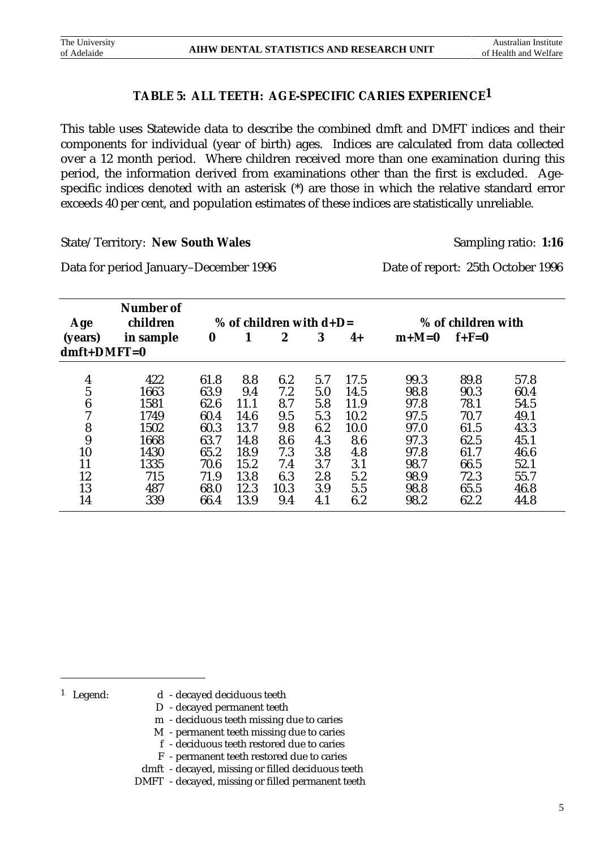# **TABLE 5: ALL TEETH: AGE-SPECIFIC CARIES EXPERIENCE1**

This table uses Statewide data to describe the combined dmft and DMFT indices and their components for individual (year of birth) ages. Indices are calculated from data collected over a 12 month period. Where children received more than one examination during this period, the information derived from examinations other than the first is excluded. Agespecific indices denoted with an asterisk (\*) are those in which the relative standard error exceeds 40 per cent, and population estimates of these indices are statistically unreliable.

State/Territory: **New South Wales** Sampling ratio: 1:16

Data for period January–December 1996 Date of report: 25th October 1996

| Age              | <b>Number of</b><br>children | % of children with $d+D=$ |      |      |     |      | % of children with |         |      |
|------------------|------------------------------|---------------------------|------|------|-----|------|--------------------|---------|------|
| (years)          | in sample                    | $\boldsymbol{0}$          |      | 2    | 3   | $4+$ | $m+M=0$            | $f+F=0$ |      |
| $dmft+DMFT=0$    |                              |                           |      |      |     |      |                    |         |      |
|                  | 422                          | 61.8                      | 8.8  | 6.2  | 5.7 | 17.5 | 99.3               | 89.8    | 57.8 |
| $\frac{4}{5}$    | 1663                         | 63.9                      | 9.4  | 7.2  | 5.0 | 14.5 | 98.8               | 90.3    | 60.4 |
| $\boldsymbol{6}$ | 1581                         | 62.6                      | 11.1 | 8.7  | 5.8 | 11.9 | 97.8               | 78.1    | 54.5 |
| 7                | 1749                         | 60.4                      | 14.6 | 9.5  | 5.3 | 10.2 | 97.5               | 70.7    | 49.1 |
| 8                | 1502                         | 60.3                      | 13.7 | 9.8  | 6.2 | 10.0 | 97.0               | 61.5    | 43.3 |
| 9                | 1668                         | 63.7                      | 14.8 | 8.6  | 4.3 | 8.6  | 97.3               | 62.5    | 45.1 |
| 10               | 1430                         | 65.2                      | 18.9 | 7.3  | 3.8 | 4.8  | 97.8               | 61.7    | 46.6 |
| 11               | 1335                         | 70.6                      | 15.2 | 7.4  | 3.7 | 3.1  | 98.7               | 66.5    | 52.1 |
| 12               | 715                          | 71.9                      | 13.8 | 6.3  | 2.8 | 5.2  | 98.9               | 72.3    | 55.7 |
| 13               | 487                          | 68.0                      | 12.3 | 10.3 | 3.9 | 5.5  | 98.8               | 65.5    | 46.8 |
| 14               | 339                          | 66.4                      | 13.9 | 9.4  | 4.1 | 6.2  | 98.2               | 62.2    | 44.8 |

- <sup>1</sup> Legend: d decayed deciduous teeth
	- D decayed permanent teeth
	- m deciduous teeth missing due to caries
	- M permanent teeth missing due to caries
	- f deciduous teeth restored due to caries
	- F permanent teeth restored due to caries
	- dmft decayed, missing or filled deciduous teeth
	- DMFT decayed, missing or filled permanent teeth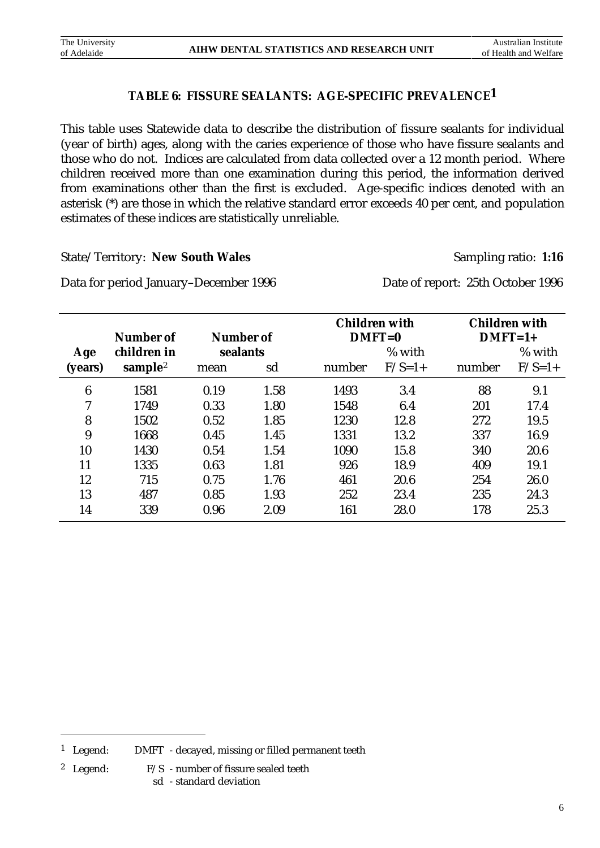# **TABLE 6: FISSURE SEALANTS: AGE-SPECIFIC PREVALENCE1**

This table uses Statewide data to describe the distribution of fissure sealants for individual (year of birth) ages, along with the caries experience of those who have fissure sealants and those who do not. Indices are calculated from data collected over a 12 month period. Where children received more than one examination during this period, the information derived from examinations other than the first is excluded. Age-specific indices denoted with an asterisk (\*) are those in which the relative standard error exceeds 40 per cent, and population estimates of these indices are statistically unreliable.

State/Territory: New South Wales Sampling ratio: 1:16

Data for period January–December 1996 Date of report: 25th October 1996

|         | Number of           | Number of |      |        | <b>Children with</b><br>$DMFT=0$ | <b>Children with</b><br>$DMFT=1+$ |          |  |
|---------|---------------------|-----------|------|--------|----------------------------------|-----------------------------------|----------|--|
| Age     | children in         | sealants  |      |        | % with                           |                                   | % with   |  |
| (years) | sample <sup>2</sup> | mean      | sd   | number | $F/S=1+$                         | number                            | $F/S=1+$ |  |
| 6       | 1581                | 0.19      | 1.58 | 1493   | 3.4                              | 88                                | 9.1      |  |
| 7       | 1749                | 0.33      | 1.80 | 1548   | 6.4                              | 201                               | 17.4     |  |
| 8       | 1502                | 0.52      | 1.85 | 1230   | 12.8                             | 272                               | 19.5     |  |
| 9       | 1668                | 0.45      | 1.45 | 1331   | 13.2                             | 337                               | 16.9     |  |
| 10      | 1430                | 0.54      | 1.54 | 1090   | 15.8                             | 340                               | 20.6     |  |
| 11      | 1335                | 0.63      | 1.81 | 926    | 18.9                             | 409                               | 19.1     |  |
| 12      | 715                 | 0.75      | 1.76 | 461    | 20.6                             | 254                               | 26.0     |  |
| 13      | 487                 | 0.85      | 1.93 | 252    | 23.4                             | 235                               | 24.3     |  |
| 14      | 339                 | 0.96      | 2.09 | 161    | 28.0                             | 178                               | 25.3     |  |

- <sup>2</sup> Legend:  $F/S$  number of fissure sealed teeth
	- sd standard deviation

<sup>&</sup>lt;sup>1</sup> Legend: DMFT - decayed, missing or filled permanent teeth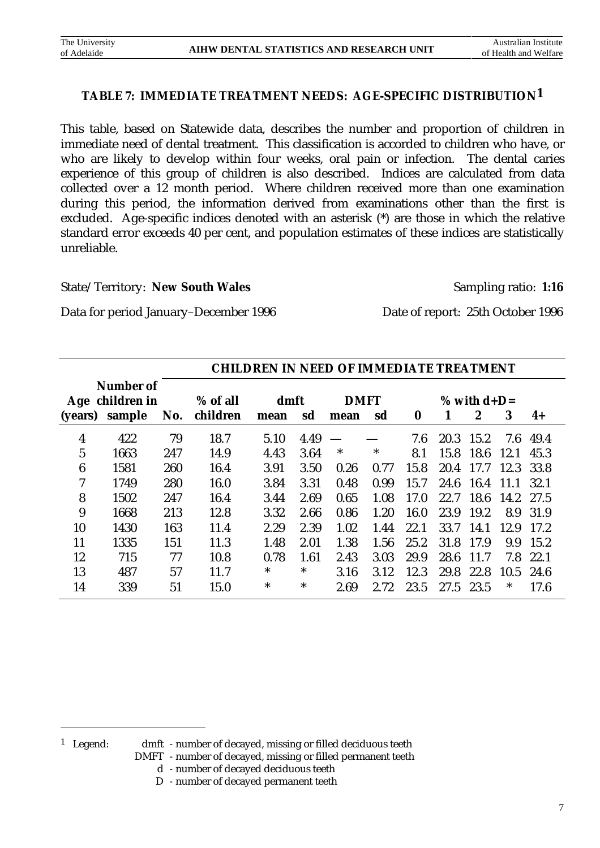# **TABLE 7: IMMEDIATE TREATMENT NEEDS: AGE-SPECIFIC DISTRIBUTION1**

This table, based on Statewide data, describes the number and proportion of children in immediate need of dental treatment. This classification is accorded to children who have, or who are likely to develop within four weeks, oral pain or infection. The dental caries experience of this group of children is also described. Indices are calculated from data collected over a 12 month period. Where children received more than one examination during this period, the information derived from examinations other than the first is excluded. Age-specific indices denoted with an asterisk (\*) are those in which the relative standard error exceeds 40 per cent, and population estimates of these indices are statistically unreliable.

#### State/Territory: New South Wales Sampling ratio: 1:16

Data for period January–December 1996 Date of report: 25th October 1996

|         |                 | <b>CHILDREN IN NEED OF IMMEDIATE TREATMENT</b> |          |        |      |             |        |          |      |                  |      |      |
|---------|-----------------|------------------------------------------------|----------|--------|------|-------------|--------|----------|------|------------------|------|------|
|         | Number of       |                                                |          |        |      |             |        |          |      |                  |      |      |
|         | Age children in |                                                | % of all | dmft   |      | <b>DMFT</b> |        |          |      | % with $d+D=$    |      |      |
| (years) | sample          | No.                                            | children | mean   | sd   | mean        | sd     | $\bf{0}$ |      | $\boldsymbol{2}$ | 3    | $4+$ |
| 4       | 422             | 79                                             | 18.7     | 5.10   | 4.49 |             |        | 7.6      | 20.3 | 15.2             | 7.6  | 49.4 |
| 5       | 1663            | 247                                            | 14.9     | 4.43   | 3.64 | ∗           | $\ast$ | 8.1      | 15.8 | 18.6             | 12.1 | 45.3 |
| 6       | 1581            | 260                                            | 16.4     | 3.91   | 3.50 | 0.26        | 0.77   | 15.8     | 20.4 | 17.7             | 12.3 | 33.8 |
| 7       | 1749            | 280                                            | 16.0     | 3.84   | 3.31 | 0.48        | 0.99   | 15.7     | 24.6 | 16.4             | 11.1 | 32.1 |
| 8       | 1502            | 247                                            | 16.4     | 3.44   | 2.69 | 0.65        | 1.08   | 17.0     | 22.7 | 18.6             | 14.2 | 27.5 |
| 9       | 1668            | 213                                            | 12.8     | 3.32   | 2.66 | 0.86        | 1.20   | 16.0     | 23.9 | 19.2             | 8.9  | 31.9 |
| 10      | 1430            | 163                                            | 11.4     | 2.29   | 2.39 | 1.02        | 1.44   | 22.1     | 33.7 | 14.1             | 12.9 | 17.2 |
| 11      | 1335            | 151                                            | 11.3     | 1.48   | 2.01 | 1.38        | 1.56   | 25.2     | 31.8 | 17.9             | 9.9  | 15.2 |
| 12      | 715             | 77                                             | 10.8     | 0.78   | 1.61 | 2.43        | 3.03   | 29.9     | 28.6 | 11.7             | 7.8  | 22.1 |
| 13      | 487             | 57                                             | 11.7     | $\ast$ | *    | 3.16        | 3.12   | 12.3     | 29.8 | 22.8             | 10.5 | 24.6 |
| 14      | 339             | 51                                             | 15.0     | $\ast$ | *    | 2.69        | 2.72   | 23.5     | 27.5 | 23.5             | ∗    | 17.6 |

 $\overline{a}$ 

<sup>1</sup> Legend: dmft - number of decayed, missing or filled deciduous teeth

- DMFT number of decayed, missing or filled permanent teeth
	- d number of decayed deciduous teeth
	- D number of decayed permanent teeth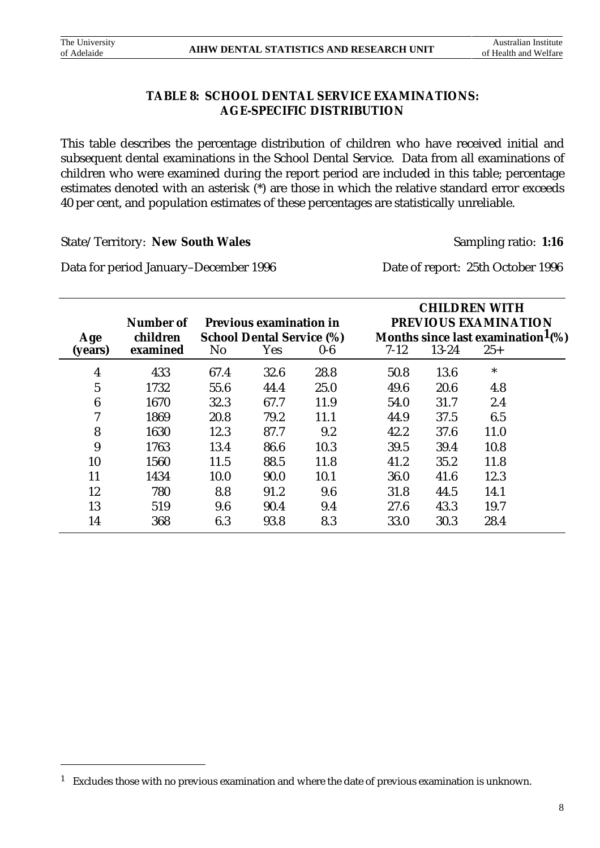$\overline{a}$ 

# **TABLE 8: SCHOOL DENTAL SERVICE EXAMINATIONS: AGE-SPECIFIC DISTRIBUTION**

This table describes the percentage distribution of children who have received initial and subsequent dental examinations in the School Dental Service. Data from all examinations of children who were examined during the report period are included in this table; percentage estimates denoted with an asterisk (\*) are those in which the relative standard error exceeds 40 per cent, and population estimates of these percentages are statistically unreliable.

State/Territory: **New South Wales** Sampling ratio: 1:16

Data for period January–December 1996 Date of report: 25th October 1996

|                  | Number of            |                | <b>Previous examination in</b>          |       | <b>CHILDREN WITH</b><br>PREVIOUS EXAMINATION |           |                                                       |  |  |  |
|------------------|----------------------|----------------|-----------------------------------------|-------|----------------------------------------------|-----------|-------------------------------------------------------|--|--|--|
| Age<br>(years)   | children<br>examined | N <sub>o</sub> | <b>School Dental Service (%)</b><br>Yes | $0-6$ | $7 - 12$                                     | $13 - 24$ | Months since last examination $1\frac{9}{6}$<br>$25+$ |  |  |  |
| 4                | 433                  | 67.4           | 32.6                                    | 28.8  | 50.8                                         | 13.6      | $\ast$                                                |  |  |  |
| $\mathbf{5}$     | 1732                 | 55.6           | 44.4                                    | 25.0  | 49.6                                         | 20.6      | 4.8                                                   |  |  |  |
| $\boldsymbol{6}$ | 1670                 | 32.3           | 67.7                                    | 11.9  | 54.0                                         | 31.7      | 2.4                                                   |  |  |  |
| 7                | 1869                 | 20.8           | 79.2                                    | 11.1  | 44.9                                         | 37.5      | 6.5                                                   |  |  |  |
| 8                | 1630                 | 12.3           | 87.7                                    | 9.2   | 42.2                                         | 37.6      | 11.0                                                  |  |  |  |
| 9                | 1763                 | 13.4           | 86.6                                    | 10.3  | 39.5                                         | 39.4      | 10.8                                                  |  |  |  |
| 10               | 1560                 | 11.5           | 88.5                                    | 11.8  | 41.2                                         | 35.2      | 11.8                                                  |  |  |  |
| 11               | 1434                 | 10.0           | 90.0                                    | 10.1  | 36.0                                         | 41.6      | 12.3                                                  |  |  |  |
| 12               | 780                  | 8.8            | 91.2                                    | 9.6   | 31.8                                         | 44.5      | 14.1                                                  |  |  |  |
| 13               | 519                  | 9.6            | 90.4                                    | 9.4   | 27.6                                         | 43.3      | 19.7                                                  |  |  |  |
| 14               | 368                  | 6.3            | 93.8                                    | 8.3   | 33.0                                         | 30.3      | 28.4                                                  |  |  |  |

<sup>&</sup>lt;sup>1</sup> Excludes those with no previous examination and where the date of previous examination is unknown.